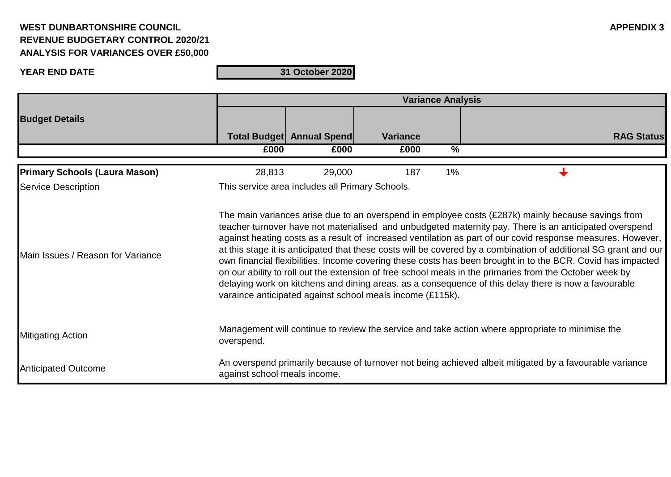### **YEAR END DATE**

|                                      | <b>Variance Analysis</b>                                                                                                                                                                                                                                                                                                                                                                                                                                                                                                                                                                                                                                                                                                                                                                                                                       |                                  |                 |               |                   |  |  |
|--------------------------------------|------------------------------------------------------------------------------------------------------------------------------------------------------------------------------------------------------------------------------------------------------------------------------------------------------------------------------------------------------------------------------------------------------------------------------------------------------------------------------------------------------------------------------------------------------------------------------------------------------------------------------------------------------------------------------------------------------------------------------------------------------------------------------------------------------------------------------------------------|----------------------------------|-----------------|---------------|-------------------|--|--|
| <b>Budget Details</b>                |                                                                                                                                                                                                                                                                                                                                                                                                                                                                                                                                                                                                                                                                                                                                                                                                                                                | <b>Total Budget Annual Spend</b> | <b>Variance</b> |               | <b>RAG Status</b> |  |  |
|                                      | £000                                                                                                                                                                                                                                                                                                                                                                                                                                                                                                                                                                                                                                                                                                                                                                                                                                           | £000                             | £000            | $\frac{9}{6}$ |                   |  |  |
| <b>Primary Schools (Laura Mason)</b> | 28,813                                                                                                                                                                                                                                                                                                                                                                                                                                                                                                                                                                                                                                                                                                                                                                                                                                         | 29,000                           | 187             | $1\%$         |                   |  |  |
| <b>Service Description</b>           | This service area includes all Primary Schools.                                                                                                                                                                                                                                                                                                                                                                                                                                                                                                                                                                                                                                                                                                                                                                                                |                                  |                 |               |                   |  |  |
| Main Issues / Reason for Variance    | The main variances arise due to an overspend in employee costs (£287k) mainly because savings from<br>teacher turnover have not materialised and unbudgeted maternity pay. There is an anticipated overspend<br>against heating costs as a result of increased ventilation as part of our covid response measures. However,<br>at this stage it is anticipated that these costs will be covered by a combination of additional SG grant and our<br>own financial flexibilities. Income covering these costs has been brought in to the BCR. Covid has impacted<br>on our ability to roll out the extension of free school meals in the primaries from the October week by<br>delaying work on kitchens and dining areas. as a consequence of this delay there is now a favourable<br>varaince anticipated against school meals income (£115k). |                                  |                 |               |                   |  |  |
| <b>Mitigating Action</b>             | Management will continue to review the service and take action where appropriate to minimise the<br>overspend.                                                                                                                                                                                                                                                                                                                                                                                                                                                                                                                                                                                                                                                                                                                                 |                                  |                 |               |                   |  |  |
| <b>Anticipated Outcome</b>           | An overspend primarily because of turnover not being achieved albeit mitigated by a favourable variance<br>against school meals income.                                                                                                                                                                                                                                                                                                                                                                                                                                                                                                                                                                                                                                                                                                        |                                  |                 |               |                   |  |  |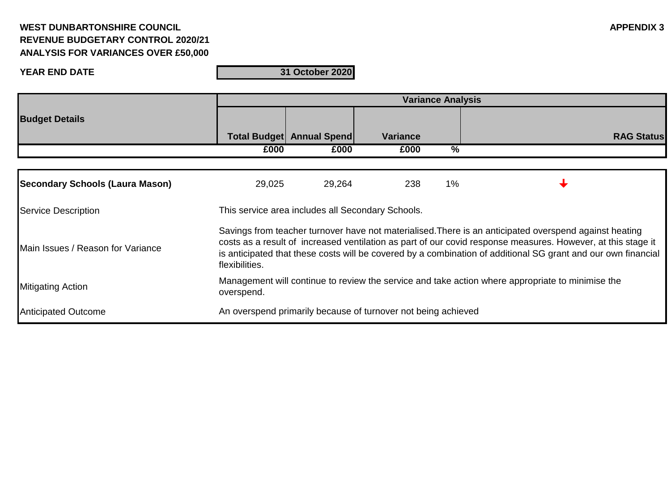### **YEAR END DATE**

|                                        | <b>Variance Analysis</b>                                                                                                                                                                                                                                                                                                                                  |                                                               |                 |                 |                   |  |
|----------------------------------------|-----------------------------------------------------------------------------------------------------------------------------------------------------------------------------------------------------------------------------------------------------------------------------------------------------------------------------------------------------------|---------------------------------------------------------------|-----------------|-----------------|-------------------|--|
| <b>Budget Details</b>                  |                                                                                                                                                                                                                                                                                                                                                           |                                                               |                 |                 |                   |  |
|                                        |                                                                                                                                                                                                                                                                                                                                                           | Total Budget Annual Spend                                     | <b>Variance</b> |                 | <b>RAG Status</b> |  |
|                                        | £000                                                                                                                                                                                                                                                                                                                                                      | £000                                                          | £000            | $\overline{\%}$ |                   |  |
|                                        |                                                                                                                                                                                                                                                                                                                                                           |                                                               |                 |                 |                   |  |
| <b>Secondary Schools (Laura Mason)</b> | 29,025                                                                                                                                                                                                                                                                                                                                                    | 29,264                                                        | 238             | $1\%$           |                   |  |
| <b>Service Description</b>             | This service area includes all Secondary Schools.                                                                                                                                                                                                                                                                                                         |                                                               |                 |                 |                   |  |
| Main Issues / Reason for Variance      | Savings from teacher turnover have not materialised. There is an anticipated overspend against heating<br>costs as a result of increased ventilation as part of our covid response measures. However, at this stage it<br>is anticipated that these costs will be covered by a combination of additional SG grant and our own financial<br>flexibilities. |                                                               |                 |                 |                   |  |
| <b>Mitigating Action</b>               | Management will continue to review the service and take action where appropriate to minimise the<br>overspend.                                                                                                                                                                                                                                            |                                                               |                 |                 |                   |  |
| <b>Anticipated Outcome</b>             |                                                                                                                                                                                                                                                                                                                                                           | An overspend primarily because of turnover not being achieved |                 |                 |                   |  |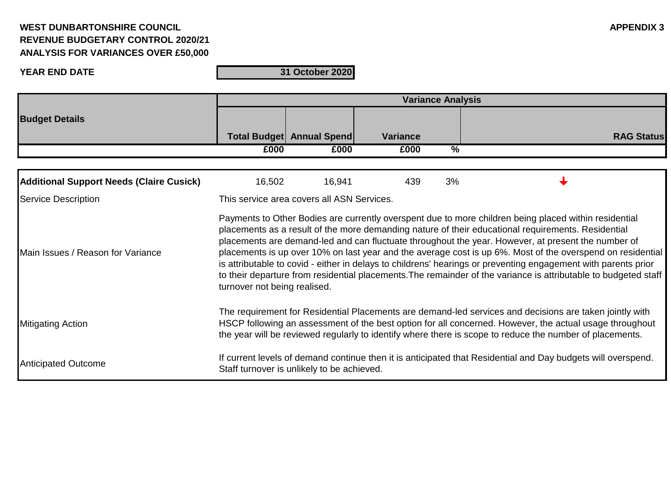### **YEAR END DATE**

|                                                 | <b>Variance Analysis</b>                                                                                                                                                                                                                                                                                                                                                                                                                                                                                                                                                                                                                                                                             |                                  |                 |               |                   |  |  |
|-------------------------------------------------|------------------------------------------------------------------------------------------------------------------------------------------------------------------------------------------------------------------------------------------------------------------------------------------------------------------------------------------------------------------------------------------------------------------------------------------------------------------------------------------------------------------------------------------------------------------------------------------------------------------------------------------------------------------------------------------------------|----------------------------------|-----------------|---------------|-------------------|--|--|
| <b>Budget Details</b>                           |                                                                                                                                                                                                                                                                                                                                                                                                                                                                                                                                                                                                                                                                                                      |                                  |                 |               |                   |  |  |
|                                                 |                                                                                                                                                                                                                                                                                                                                                                                                                                                                                                                                                                                                                                                                                                      | <b>Total Budget Annual Spend</b> | <b>Variance</b> |               | <b>RAG Status</b> |  |  |
|                                                 | £000                                                                                                                                                                                                                                                                                                                                                                                                                                                                                                                                                                                                                                                                                                 | £000                             | £000            | $\frac{9}{6}$ |                   |  |  |
|                                                 |                                                                                                                                                                                                                                                                                                                                                                                                                                                                                                                                                                                                                                                                                                      |                                  |                 |               |                   |  |  |
| <b>Additional Support Needs (Claire Cusick)</b> | 16,502                                                                                                                                                                                                                                                                                                                                                                                                                                                                                                                                                                                                                                                                                               | 16,941                           | 439             | 3%            |                   |  |  |
| <b>Service Description</b>                      | This service area covers all ASN Services.                                                                                                                                                                                                                                                                                                                                                                                                                                                                                                                                                                                                                                                           |                                  |                 |               |                   |  |  |
| Main Issues / Reason for Variance               | Payments to Other Bodies are currently overspent due to more children being placed within residential<br>placements as a result of the more demanding nature of their educational requirements. Residential<br>placements are demand-led and can fluctuate throughout the year. However, at present the number of<br>placements is up over 10% on last year and the average cost is up 6%. Most of the overspend on residential<br>is attributable to covid - either in delays to childrens' hearings or preventing engagement with parents prior<br>to their departure from residential placements. The remainder of the variance is attributable to budgeted staff<br>turnover not being realised. |                                  |                 |               |                   |  |  |
| <b>Mitigating Action</b>                        | The requirement for Residential Placements are demand-led services and decisions are taken jointly with<br>HSCP following an assessment of the best option for all concerned. However, the actual usage throughout<br>the year will be reviewed regularly to identify where there is scope to reduce the number of placements.                                                                                                                                                                                                                                                                                                                                                                       |                                  |                 |               |                   |  |  |
| <b>Anticipated Outcome</b>                      | If current levels of demand continue then it is anticipated that Residential and Day budgets will overspend.<br>Staff turnover is unlikely to be achieved.                                                                                                                                                                                                                                                                                                                                                                                                                                                                                                                                           |                                  |                 |               |                   |  |  |